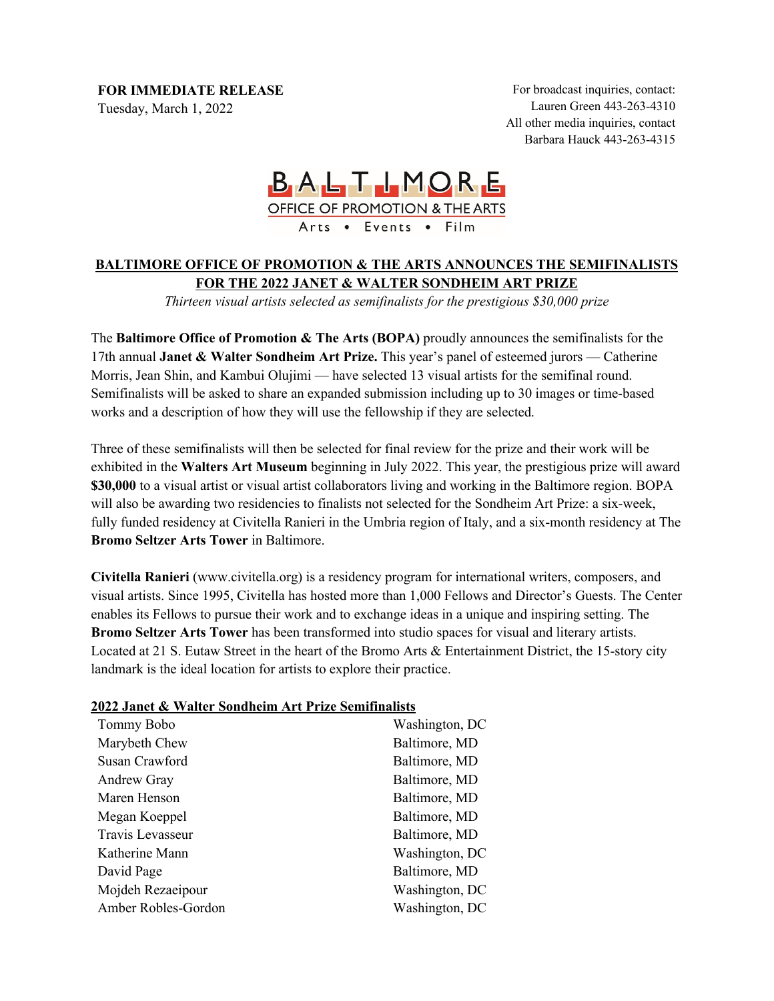**FOR IMMEDIATE RELEASE**

Tuesday, March 1, 2022

For broadcast inquiries, contact: Lauren Green 443-263-4310 All other media inquiries, contact Barbara Hauck 443-263-4315

# **BALTLMORE** OFFICE OF PROMOTION & THE ARTS Arts . Events . Film

# **BALTIMORE OFFICE OF PROMOTION & THE ARTS ANNOUNCES THE SEMIFINALISTS FOR THE 2022 JANET & WALTER SONDHEIM ART PRIZE**

*Thirteen visual artists selected as semifinalists for the prestigious \$30,000 prize*

The **Baltimore Office of Promotion & The Arts (BOPA)** proudly announces the semifinalists for the 17th annual **Janet & Walter Sondheim Art Prize.** This year's panel of esteemed jurors — Catherine Morris, Jean Shin, and Kambui Olujimi — have selected 13 visual artists for the semifinal round. Semifinalists will be asked to share an expanded submission including up to 30 images or time-based works and a description of how they will use the fellowship if they are selected.

Three of these semifinalists will then be selected for final review for the prize and their work will be exhibited in the **Walters Art Museum** beginning in July 2022. This year, the prestigious prize will award **\$30,000** to a visual artist or visual artist collaborators living and working in the Baltimore region. BOPA will also be awarding two residencies to finalists not selected for the Sondheim Art Prize: a six-week, fully funded residency at Civitella Ranieri in the Umbria region of Italy, and a six-month residency at The **Bromo Seltzer Arts Tower** in Baltimore.

**Civitella Ranieri** (www.civitella.org) is a residency program for international writers, composers, and visual artists. Since 1995, Civitella has hosted more than 1,000 Fellows and Director's Guests. The Center enables its Fellows to pursue their work and to exchange ideas in a unique and inspiring setting. The **Bromo Seltzer Arts Tower** has been transformed into studio spaces for visual and literary artists. Located at 21 S. Eutaw Street in the heart of the Bromo Arts & Entertainment District, the 15-story city landmark is the ideal location for artists to explore their practice.

## **2022 Janet & Walter Sondheim Art Prize Semifinalists**

| Tommy Bobo          | Washington, DC |
|---------------------|----------------|
| Marybeth Chew       | Baltimore, MD  |
| Susan Crawford      | Baltimore, MD  |
| Andrew Gray         | Baltimore, MD  |
| Maren Henson        | Baltimore, MD  |
| Megan Koeppel       | Baltimore, MD  |
| Travis Levasseur    | Baltimore, MD  |
| Katherine Mann      | Washington, DC |
| David Page          | Baltimore, MD  |
| Mojdeh Rezaeipour   | Washington, DC |
| Amber Robles-Gordon | Washington, DC |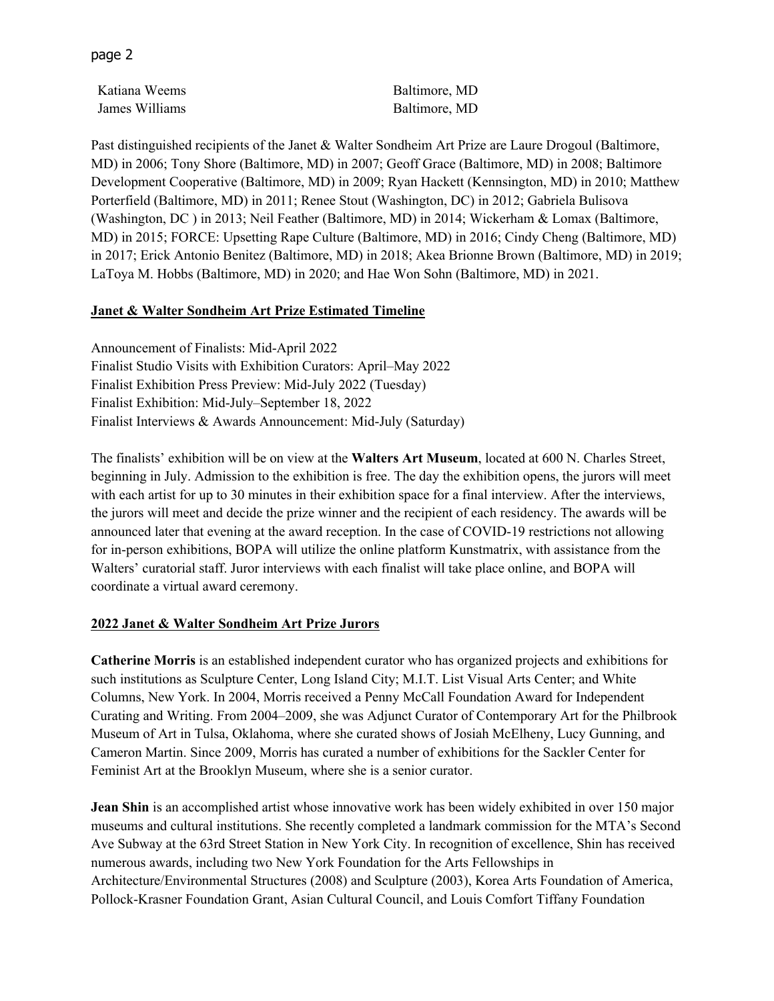page 2

Katiana Weems Baltimore, MD James Williams Baltimore, MD

Past distinguished recipients of the Janet & Walter Sondheim Art Prize are Laure Drogoul (Baltimore, MD) in 2006; Tony Shore (Baltimore, MD) in 2007; Geoff Grace (Baltimore, MD) in 2008; Baltimore Development Cooperative (Baltimore, MD) in 2009; Ryan Hackett (Kennsington, MD) in 2010; Matthew Porterfield (Baltimore, MD) in 2011; Renee Stout (Washington, DC) in 2012; Gabriela Bulisova (Washington, DC ) in 2013; Neil Feather (Baltimore, MD) in 2014; Wickerham & Lomax (Baltimore, MD) in 2015; FORCE: Upsetting Rape Culture (Baltimore, MD) in 2016; Cindy Cheng (Baltimore, MD) in 2017; Erick Antonio Benitez (Baltimore, MD) in 2018; Akea Brionne Brown (Baltimore, MD) in 2019; LaToya M. Hobbs (Baltimore, MD) in 2020; and Hae Won Sohn (Baltimore, MD) in 2021.

### **Janet & Walter Sondheim Art Prize Estimated Timeline**

Announcement of Finalists: Mid-April 2022 Finalist Studio Visits with Exhibition Curators: April–May 2022 Finalist Exhibition Press Preview: Mid-July 2022 (Tuesday) Finalist Exhibition: Mid-July–September 18, 2022 Finalist Interviews & Awards Announcement: Mid-July (Saturday)

The finalists' exhibition will be on view at the **Walters Art Museum**, located at 600 N. Charles Street, beginning in July. Admission to the exhibition is free. The day the exhibition opens, the jurors will meet with each artist for up to 30 minutes in their exhibition space for a final interview. After the interviews, the jurors will meet and decide the prize winner and the recipient of each residency. The awards will be announced later that evening at the award reception. In the case of COVID-19 restrictions not allowing for in-person exhibitions, BOPA will utilize the online platform Kunstmatrix, with assistance from the Walters' curatorial staff. Juror interviews with each finalist will take place online, and BOPA will coordinate a virtual award ceremony.

#### **2022 Janet & Walter Sondheim Art Prize Jurors**

**Catherine Morris** is an established independent curator who has organized projects and exhibitions for such institutions as Sculpture Center, Long Island City; M.I.T. List Visual Arts Center; and White Columns, New York. In 2004, Morris received a Penny McCall Foundation Award for Independent Curating and Writing. From 2004–2009, she was Adjunct Curator of Contemporary Art for the Philbrook Museum of Art in Tulsa, Oklahoma, where she curated shows of Josiah McElheny, Lucy Gunning, and Cameron Martin. Since 2009, Morris has curated a number of exhibitions for the Sackler Center for Feminist Art at the Brooklyn Museum, where she is a senior curator.

**Jean Shin** is an accomplished artist whose innovative work has been widely exhibited in over 150 major museums and cultural institutions. She recently completed a landmark commission for the MTA's Second Ave Subway at the 63rd Street Station in New York City. In recognition of excellence, Shin has received numerous awards, including two New York Foundation for the Arts Fellowships in Architecture/Environmental Structures (2008) and Sculpture (2003), Korea Arts Foundation of America, Pollock-Krasner Foundation Grant, Asian Cultural Council, and Louis Comfort Tiffany Foundation